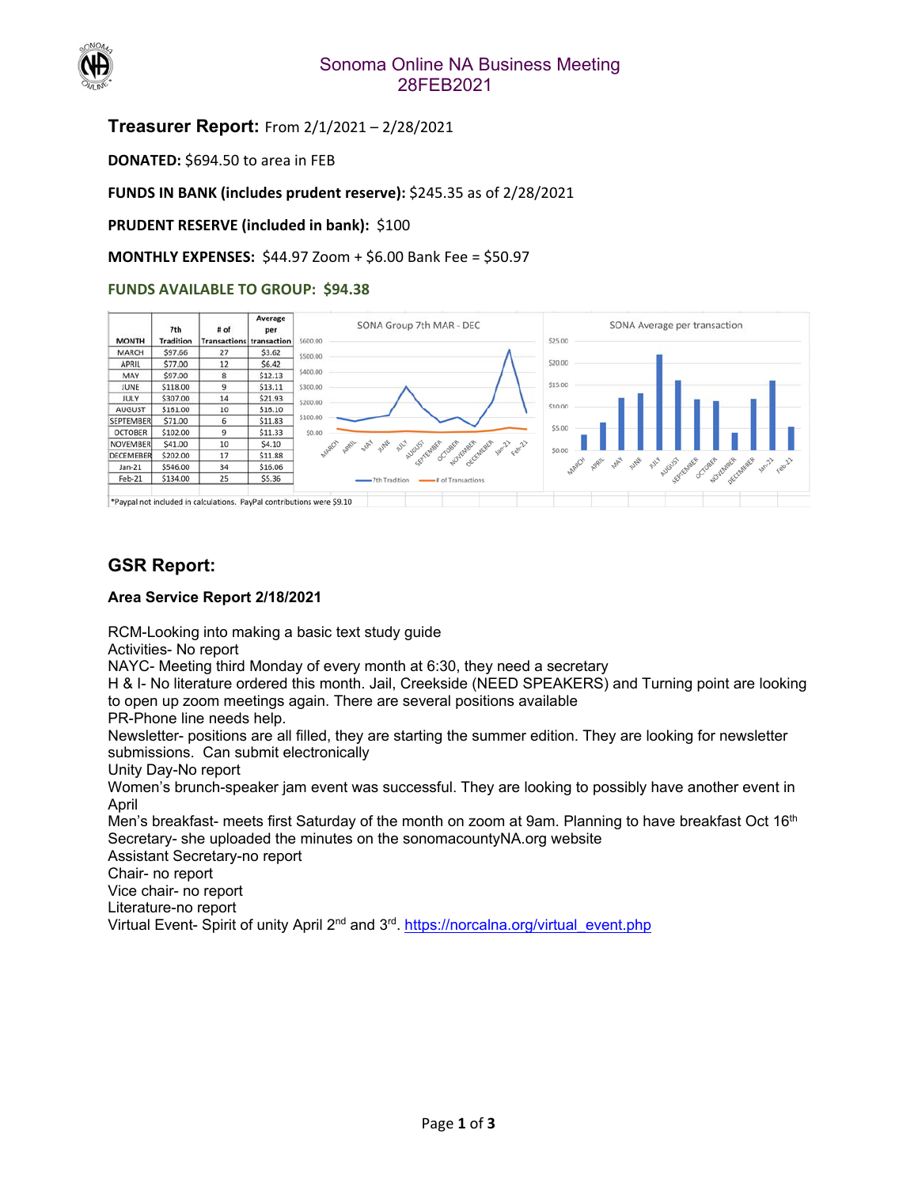

### Sonoma Online NA Business Meeting 28FEB2021

### **Treasurer Report:** From 2/1/2021 – 2/28/2021

**DONATED:** \$694.50 to area in FEB

**FUNDS IN BANK (includes prudent reserve):** \$245.35 as of 2/28/2021

**PRUDENT RESERVE (included in bank): \$100** 

### **MONTHLY EXPENSES:** \$44.97 Zoom + \$6.00 Bank Fee = \$50.97

### **FUNDS AVAILABLE TO GROUP: \$94.38**



## **GSR Report:**

#### **Area Service Report 2/18/2021**

RCM-Looking into making a basic text study guide

Activities- No report

NAYC- Meeting third Monday of every month at 6:30, they need a secretary

H & I- No literature ordered this month. Jail, Creekside (NEED SPEAKERS) and Turning point are looking to open up zoom meetings again. There are several positions available

PR-Phone line needs help.

Newsletter- positions are all filled, they are starting the summer edition. They are looking for newsletter submissions. Can submit electronically

Unity Day-No report

Women's brunch-speaker jam event was successful. They are looking to possibly have another event in April

Men's breakfast- meets first Saturday of the month on zoom at 9am. Planning to have breakfast Oct 16<sup>th</sup> Secretary- she uploaded the minutes on the sonomacountyNA.org website

Assistant Secretary-no report

Chair- no report

Vice chair- no report

Literature-no report

Virtual Event- Spirit of unity April 2<sup>nd</sup> and 3<sup>rd</sup>. https://norcalna.org/virtual\_event.php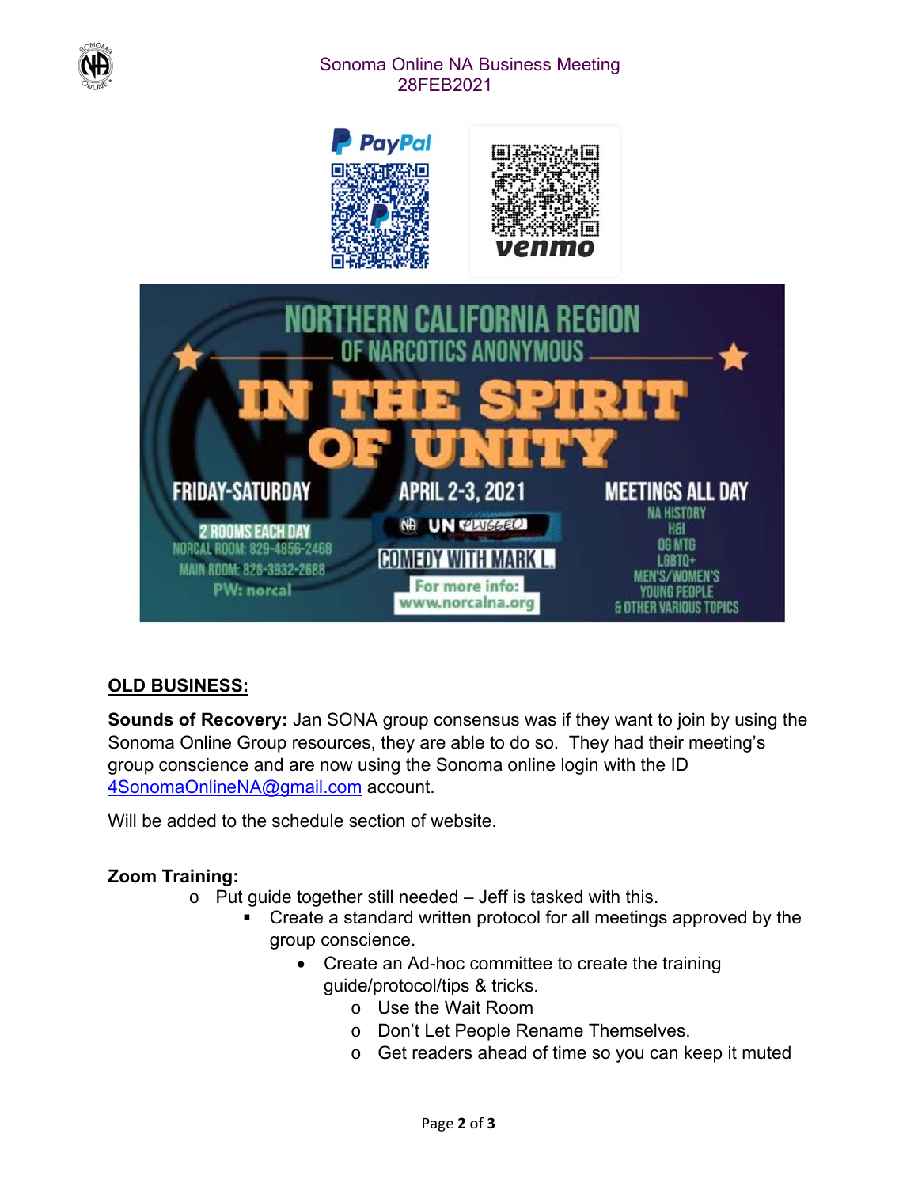

# Sonoma Online NA Business Meeting 28FEB2021



# **OLD BUSINESS:**

**Sounds of Recovery:** Jan SONA group consensus was if they want to join by using the Sonoma Online Group resources, they are able to do so. They had their meeting's group conscience and are now using the Sonoma online login with the ID 4SonomaOnlineNA@gmail.com account.

Will be added to the schedule section of website.

# **Zoom Training:**

- o Put guide together still needed Jeff is tasked with this.
	- Create a standard written protocol for all meetings approved by the group conscience.
		- Create an Ad-hoc committee to create the training guide/protocol/tips & tricks.
			- o Use the Wait Room
			- o Don't Let People Rename Themselves.
			- o Get readers ahead of time so you can keep it muted